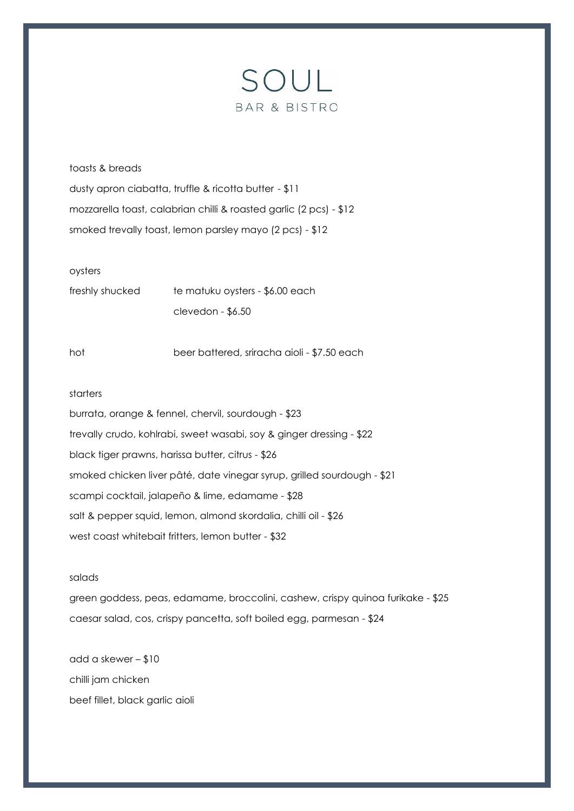

toasts & breads dusty apron ciabatta, truffle & ricotta butter - \$11 mozzarella toast, calabrian chilli & roasted garlic (2 pcs) - \$12 smoked trevally toast, lemon parsley mayo (2 pcs) - \$12

## oysters

| freshly shucked | te matuku oysters - \$6.00 each |
|-----------------|---------------------------------|
|                 | $clevedon - $6.50$              |

hot beer battered, sriracha aioli - \$7.50 each

#### starters

burrata, orange & fennel, chervil, sourdough - \$23 trevally crudo, kohlrabi, sweet wasabi, soy & ginger dressing - \$22 black tiger prawns, harissa butter, citrus - \$26 smoked chicken liver pâté, date vinegar syrup, grilled sourdough - \$21 scampi cocktail, jalapeño & lime, edamame - \$28 salt & pepper squid, lemon, almond skordalia, chilli oil - \$26 west coast whitebait fritters, lemon butter - \$32

# salads

green goddess, peas, edamame, broccolini, cashew, crispy quinoa furikake - \$25 caesar salad, cos, crispy pancetta, soft boiled egg, parmesan - \$24

add a skewer – \$10 chilli jam chicken beef fillet, black garlic aioli